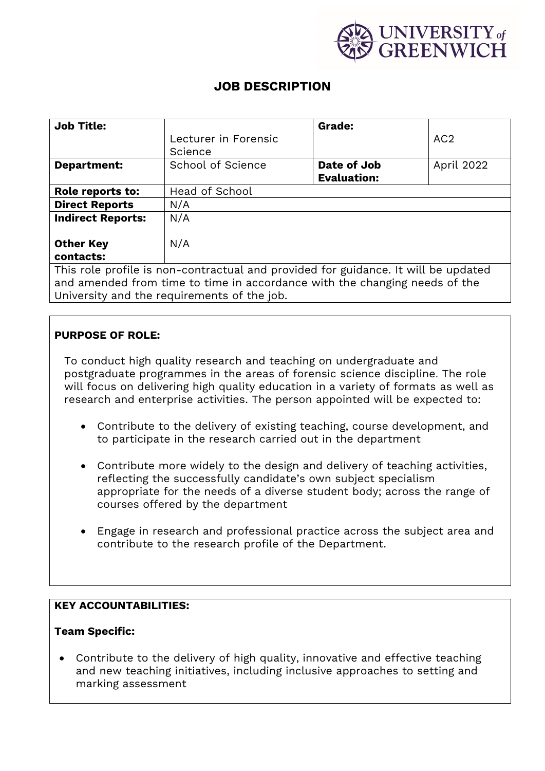

# **JOB DESCRIPTION**

| <b>Job Title:</b>                                                                  |                      | <b>Grade:</b>      |                 |
|------------------------------------------------------------------------------------|----------------------|--------------------|-----------------|
|                                                                                    | Lecturer in Forensic |                    | AC <sub>2</sub> |
|                                                                                    | Science              |                    |                 |
| Department:                                                                        | School of Science    | Date of Job        | April 2022      |
|                                                                                    |                      | <b>Evaluation:</b> |                 |
| Role reports to:                                                                   | Head of School       |                    |                 |
| <b>Direct Reports</b>                                                              | N/A                  |                    |                 |
| <b>Indirect Reports:</b>                                                           | N/A                  |                    |                 |
|                                                                                    |                      |                    |                 |
| <b>Other Key</b>                                                                   | N/A                  |                    |                 |
| contacts:                                                                          |                      |                    |                 |
| This role profile is non-contractual and provided for guidance. It will be updated |                      |                    |                 |
| and amended from time to time in accordance with the changing needs of the         |                      |                    |                 |

University and the requirements of the job.

## **PURPOSE OF ROLE:**

To conduct high quality research and teaching on undergraduate and postgraduate programmes in the areas of forensic science discipline. The role will focus on delivering high quality education in a variety of formats as well as research and enterprise activities. The person appointed will be expected to:

- Contribute to the delivery of existing teaching, course development, and to participate in the research carried out in the department
- Contribute more widely to the design and delivery of teaching activities, reflecting the successfully candidate's own subject specialism appropriate for the needs of a diverse student body; across the range of courses offered by the department
- Engage in research and professional practice across the subject area and contribute to the research profile of the Department.

## **KEY ACCOUNTABILITIES:**

#### **Team Specific:**

• Contribute to the delivery of high quality, innovative and effective teaching and new teaching initiatives, including inclusive approaches to setting and marking assessment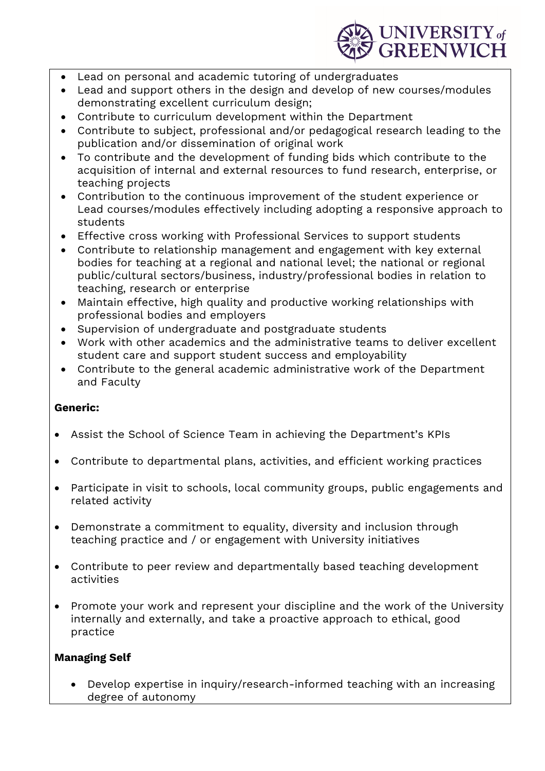

- Lead on personal and academic tutoring of undergraduates
- Lead and support others in the design and develop of new courses/modules demonstrating excellent curriculum design;
- Contribute to curriculum development within the Department
- Contribute to subject, professional and/or pedagogical research leading to the publication and/or dissemination of original work
- To contribute and the development of funding bids which contribute to the acquisition of internal and external resources to fund research, enterprise, or teaching projects
- Contribution to the continuous improvement of the student experience or Lead courses/modules effectively including adopting a responsive approach to students
- Effective cross working with Professional Services to support students
- Contribute to relationship management and engagement with key external bodies for teaching at a regional and national level; the national or regional public/cultural sectors/business, industry/professional bodies in relation to teaching, research or enterprise
- Maintain effective, high quality and productive working relationships with professional bodies and employers
- Supervision of undergraduate and postgraduate students
- Work with other academics and the administrative teams to deliver excellent student care and support student success and employability
- Contribute to the general academic administrative work of the Department and Faculty

## **Generic:**

- Assist the School of Science Team in achieving the Department's KPIs
- Contribute to departmental plans, activities, and efficient working practices
- Participate in visit to schools, local community groups, public engagements and related activity
- Demonstrate a commitment to equality, diversity and inclusion through teaching practice and / or engagement with University initiatives
- Contribute to peer review and departmentally based teaching development activities
- Promote your work and represent your discipline and the work of the University internally and externally, and take a proactive approach to ethical, good practice

## **Managing Self**

• Develop expertise in inquiry/research-informed teaching with an increasing degree of autonomy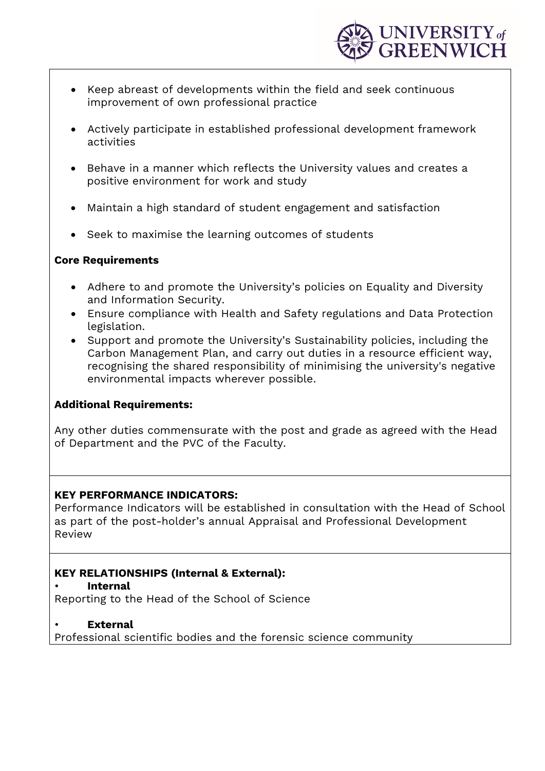

- Keep abreast of developments within the field and seek continuous improvement of own professional practice
- Actively participate in established professional development framework activities
- Behave in a manner which reflects the University values and creates a positive environment for work and study
- Maintain a high standard of student engagement and satisfaction
- Seek to maximise the learning outcomes of students

### **Core Requirements**

- Adhere to and promote the University's policies on Equality and Diversity and Information Security.
- Ensure compliance with Health and Safety regulations and Data Protection legislation.
- Support and promote the University's Sustainability policies, including the Carbon Management Plan, and carry out duties in a resource efficient way, recognising the shared responsibility of minimising the university's negative environmental impacts wherever possible.

## **Additional Requirements:**

Any other duties commensurate with the post and grade as agreed with the Head of Department and the PVC of the Faculty.

#### **KEY PERFORMANCE INDICATORS:**

Performance Indicators will be established in consultation with the Head of School as part of the post-holder's annual Appraisal and Professional Development Review

## **KEY RELATIONSHIPS (Internal & External):**

• **Internal** 

Reporting to the Head of the School of Science

• **External** 

Professional scientific bodies and the forensic science community